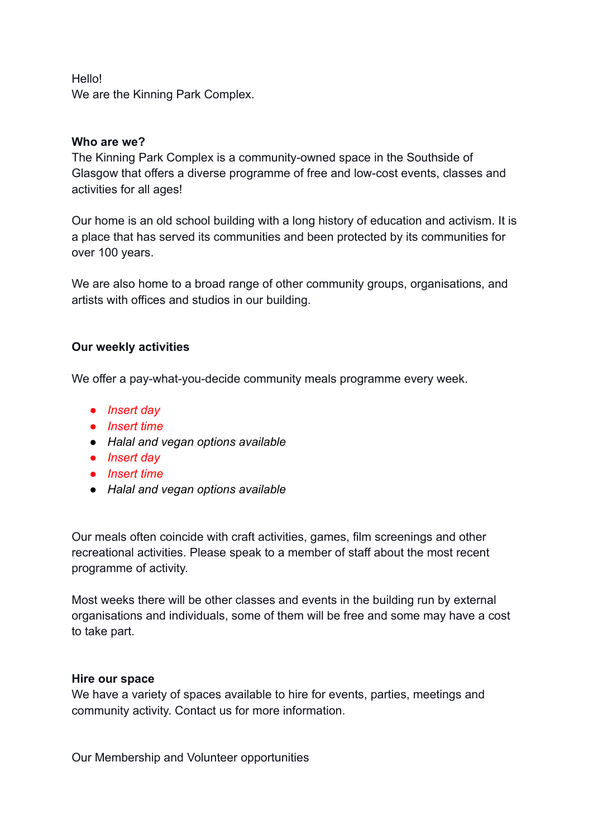Hello! We are the Kinning Park Complex.

## **Who are we?**

The Kinning Park Complex is a community-owned space in the Southside of Glasgow that offers a diverse programme of free and low-cost events, classes and activities for all ages!

Our home is an old school building with a long history of education and activism. It is a place that has served its communities and been protected by its communities for over 100 years.

We are also home to a broad range of other community groups, organisations, and artists with offices and studios in our building.

# **Our weekly activities**

We offer a pay-what-you-decide community meals programme every week.

- *Insert day*
- *Insert time*
- *Halal and vegan options available*
- *Insert day*
- *Insert time*
- *Halal and vegan options available*

Our meals often coincide with craft activities, games, film screenings and other recreational activities. Please speak to a member of staff about the most recent programme of activity.

Most weeks there will be other classes and events in the building run by external organisations and individuals, some of them will be free and some may have a cost to take part.

### **Hire our space**

We have a variety of spaces available to hire for events, parties, meetings and community activity. Contact us for more information.

Our Membership and Volunteer opportunities